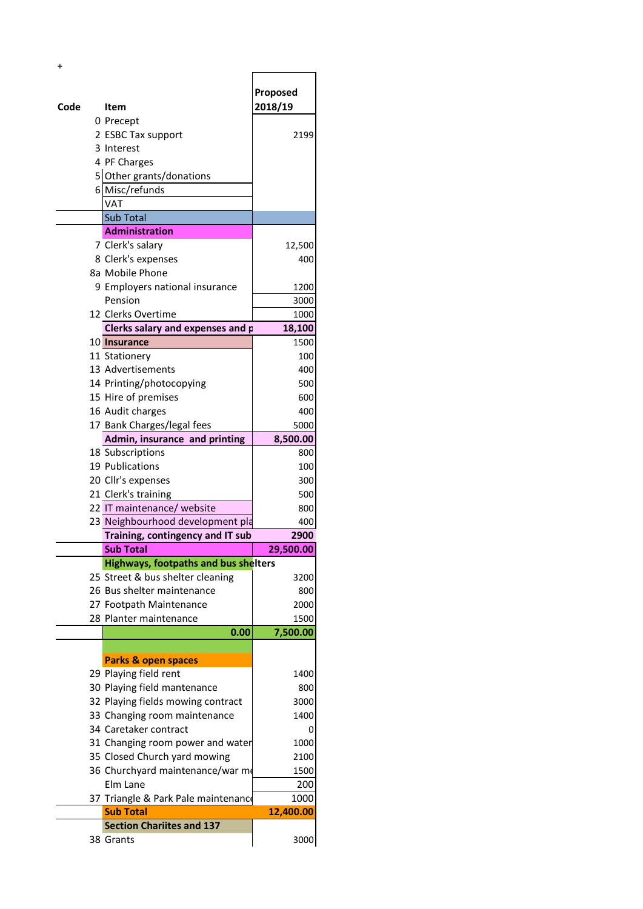| $\ddot{}$ |                                             |                     |
|-----------|---------------------------------------------|---------------------|
| Code      | Item                                        | Proposed<br>2018/19 |
|           | 0 Precept                                   |                     |
|           | 2 ESBC Tax support                          | 2199                |
|           | 3 Interest                                  |                     |
|           | 4 PF Charges                                |                     |
|           | 5 Other grants/donations                    |                     |
|           | 6 Misc/refunds                              |                     |
|           | VAT                                         |                     |
|           | Sub Total                                   |                     |
|           | <b>Administration</b>                       |                     |
|           | 7 Clerk's salary                            | 12,500              |
|           | 8 Clerk's expenses                          | 400                 |
|           | 8a Mobile Phone                             |                     |
|           | 9 Employers national insurance              | 1200                |
|           | Pension                                     | 3000                |
|           | 12 Clerks Overtime                          | 1000                |
|           | Clerks salary and expenses and p            | 18,100              |
|           | 10 Insurance                                | 1500                |
|           | 11 Stationery                               | 100                 |
|           | 13 Advertisements                           | 400                 |
|           | 14 Printing/photocopying                    | 500                 |
|           | 15 Hire of premises                         | 600                 |
|           | 16 Audit charges                            | 400                 |
|           | 17 Bank Charges/legal fees                  | 5000                |
|           | Admin, insurance and printing               | 8,500.00            |
|           | 18 Subscriptions                            | 800                 |
|           | 19 Publications                             | 100                 |
|           | 20 Cllr's expenses                          | 300                 |
|           | 21 Clerk's training                         | 500                 |
|           | 22 IT maintenance/ website                  | 800                 |
|           | 23 Neighbourhood development pla            | 400                 |
|           | Training, contingency and IT sub            | 2900                |
|           | <b>Sub Total</b>                            | 29,500.00           |
|           | <b>Highways, footpaths and bus shelters</b> |                     |
|           | 25 Street & bus shelter cleaning            | 3200                |
|           | 26 Bus shelter maintenance                  | 800                 |
|           | 27 Footpath Maintenance                     | 2000                |
|           | 28 Planter maintenance                      | 1500                |
|           | 0.00                                        | 7,500.00            |
|           |                                             |                     |
|           | Parks & open spaces                         |                     |
|           | 29 Playing field rent                       | 1400                |
|           | 30 Playing field mantenance                 | 800                 |
|           | 32 Playing fields mowing contract           | 3000                |
|           | 33 Changing room maintenance                | 1400                |
|           | 34 Caretaker contract                       | 0                   |
|           | 31 Changing room power and water            | 1000                |
|           | 35 Closed Church yard mowing                | 2100                |
|           | 36 Churchyard maintenance/war me            | 1500                |
|           | Elm Lane                                    | 200                 |
|           | 37 Triangle & Park Pale maintenance         | 1000                |
|           | <b>Sub Total</b>                            | 12,400.00           |
|           | <b>Section Chariites and 137</b>            |                     |
|           | 38 Grants                                   | 3000                |